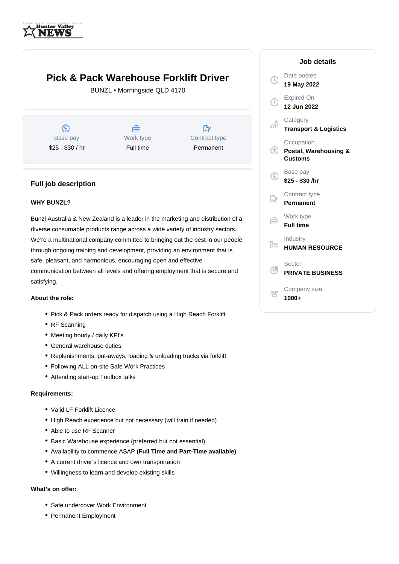

# **Pick & Pack Warehouse Forklift Driver**

BUNZL • Morningside QLD 4170

 $\circledS$ Base pay \$25 - \$30 / hr

曲 Work type Full time

 $\mathbb{R}^n$ Contract type Permanent

## **Full job description**

### **WHY BUNZL?**

Bunzl Australia & New Zealand is a leader in the marketing and distribution of a diverse consumable products range across a wide variety of industry sectors. We're a multinational company committed to bringing out the best in our people through ongoing training and development, providing an environment that is safe, pleasant, and harmonious, encouraging open and effective communication between all levels and offering employment that is secure and satisfying.

#### **About the role:**

- Pick & Pack orders ready for dispatch using a High Reach Forklift
- RF Scanning
- Meeting hourly / daily KPI's
- General warehouse duties
- Replenishments, put-aways, loading & unloading trucks via forklift
- Following ALL on-site Safe Work Practices
- Attending start-up Toolbox talks

#### **Requirements:**

- Valid LF Forklift Licence
- High Reach experience but not necessary (will train if needed)
- Able to use RF Scanner
- Basic Warehouse experience (preferred but not essential)
- Availability to commence ASAP **(Full Time and Part-Time available)**
- A current driver's licence and own transportation
- Willingness to learn and develop existing skills

#### **What's on offer:**

- Safe undercover Work Environment
- Permanent Employment

#### Date posted  $\Omega$ **19 May 2022** Expired On **12 Jun 2022 Category** oã. **Transport & Logistics Occupation**  $\bigcirc$ **Postal, Warehousing & Customs** Base pay (S) **\$25 - \$30 /hr** Contract type  $\mathbb{R}^n$ **Permanent** Work type 户 **Full time** Industry M **HUMAN RESOURCE** Sector  $\triangle$ **PRIVATE BUSINESS** Company size 223 **1000+**

**Job details**